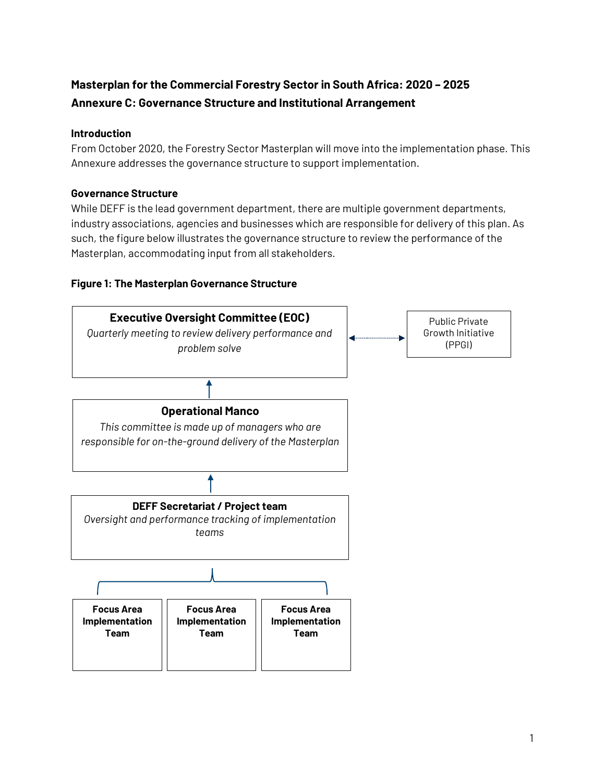# **Masterplan for the Commercial Forestry Sector in South Africa: 2020 – 2025 Annexure C: Governance Structure and Institutional Arrangement**

#### **Introduction**

From October 2020, the Forestry Sector Masterplan will move into the implementation phase. This Annexure addresses the governance structure to support implementation.

### **Governance Structure**

While DEFF is the lead government department, there are multiple government departments, industry associations, agencies and businesses which are responsible for delivery of this plan. As such, the figure below illustrates the governance structure to review the performance of the Masterplan, accommodating input from all stakeholders.

#### **Figure 1: The Masterplan Governance Structure**

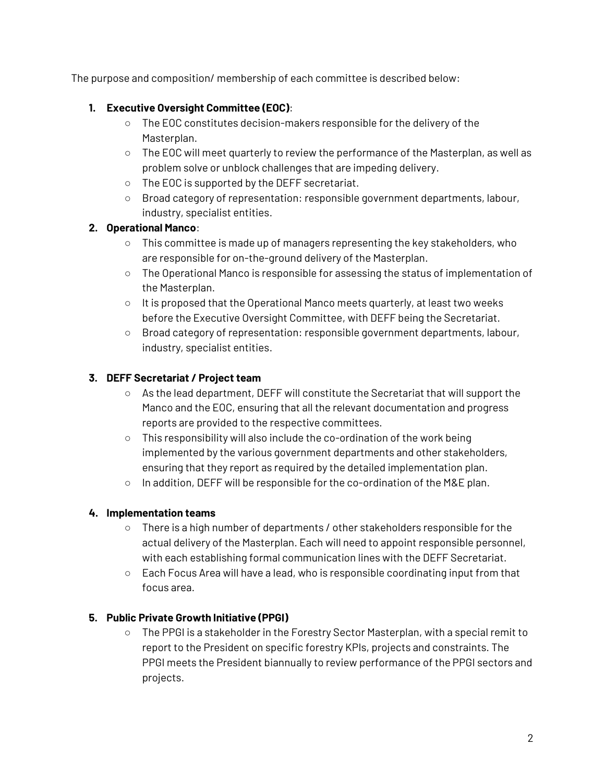The purpose and composition/ membership of each committee is described below:

### **1. Executive Oversight Committee (EOC)**:

- The EOC constitutes decision-makers responsible for the delivery of the Masterplan.
- The EOC will meet quarterly to review the performance of the Masterplan, as well as problem solve or unblock challenges that are impeding delivery.
- The EOC is supported by the DEFF secretariat.
- Broad category of representation: responsible government departments, labour, industry, specialist entities.

### **2. Operational Manco**:

- This committee is made up of managers representing the key stakeholders, who are responsible for on-the-ground delivery of the Masterplan.
- The Operational Manco is responsible for assessing the status of implementation of the Masterplan.
- It is proposed that the Operational Manco meets quarterly, at least two weeks before the Executive Oversight Committee, with DEFF being the Secretariat.
- Broad category of representation: responsible government departments, labour, industry, specialist entities.

### **3. DEFF Secretariat / Project team**

- $\circ$  As the lead department, DEFF will constitute the Secretariat that will support the Manco and the EOC, ensuring that all the relevant documentation and progress reports are provided to the respective committees.
- This responsibility will also include the co-ordination of the work being implemented by the various government departments and other stakeholders, ensuring that they report as required by the detailed implementation plan.
- In addition, DEFF will be responsible for the co-ordination of the M&E plan.

## **4. Implementation teams**

- There is a high number of departments / other stakeholders responsible for the actual delivery of the Masterplan. Each will need to appoint responsible personnel, with each establishing formal communication lines with the DEFF Secretariat.
- $\circ$  Each Focus Area will have a lead, who is responsible coordinating input from that focus area.

## **5. Public Private Growth Initiative (PPGI)**

○ The PPGI is a stakeholder in the Forestry Sector Masterplan, with a special remit to report to the President on specific forestry KPIs, projects and constraints. The PPGI meets the President biannually to review performance of the PPGI sectors and projects.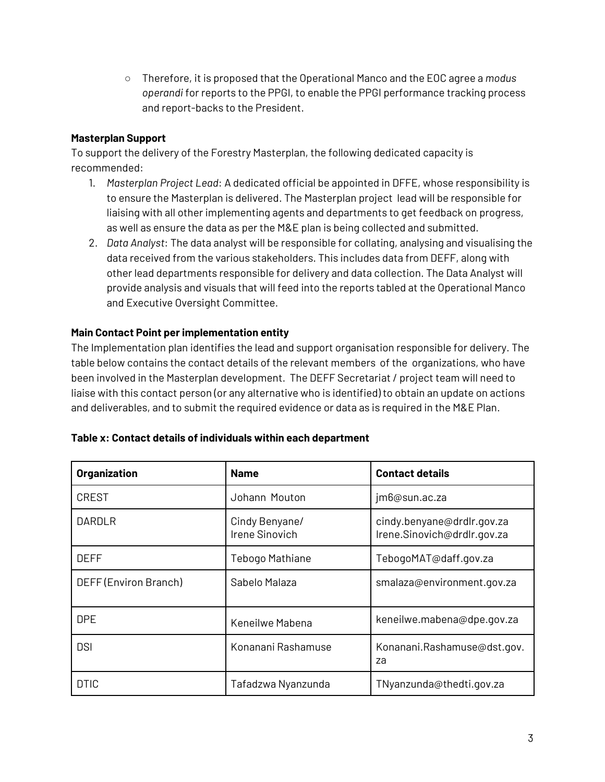○ Therefore, it is proposed that the Operational Manco and the EOC agree a *modus operandi* for reports to the PPGI, to enable the PPGI performance tracking process and report-backs to the President.

#### **Masterplan Support**

To support the delivery of the Forestry Masterplan, the following dedicated capacity is recommended:

- 1. *Masterplan Project Lead*: A dedicated official be appointed in DFFE, whose responsibility is to ensure the Masterplan is delivered. The Masterplan project lead will be responsible for liaising with all other implementing agents and departments to get feedback on progress, as well as ensure the data as per the M&E plan is being collected and submitted.
- 2. *Data Analyst*: The data analyst will be responsible for collating, analysing and visualising the data received from the various stakeholders. This includes data from DEFF, along with other lead departments responsible for delivery and data collection. The Data Analyst will provide analysis and visuals that will feed into the reports tabled at the Operational Manco and Executive Oversight Committee.

#### **Main Contact Point per implementation entity**

The Implementation plan identifies the lead and support organisation responsible for delivery. The table below contains the contact details of the relevant members of the organizations, who have been involved in the Masterplan development. The DEFF Secretariat / project team will need to liaise with this contact person (or any alternative who is identified) to obtain an update on actions and deliverables, and to submit the required evidence or data as is required in the M&E Plan.

| Organization          | <b>Name</b>                      | <b>Contact details</b>                                    |
|-----------------------|----------------------------------|-----------------------------------------------------------|
| <b>CREST</b>          | Johann Mouton                    | jm6@sun.ac.za                                             |
| DARDLR                | Cindy Benyane/<br>Irene Sinovich | cindy.benyane@drdlr.gov.za<br>Irene.Sinovich@drdlr.gov.za |
| DEFF                  | Tebogo Mathiane                  | TebogoMAT@daff.gov.za                                     |
| DEFF (Environ Branch) | Sabelo Malaza                    | smalaza@environment.gov.za                                |
| <b>DPE</b>            | Keneilwe Mabena                  | keneilwe.mabena@dpe.gov.za                                |
| <b>DSI</b>            | Konanani Rashamuse               | Konanani.Rashamuse@dst.gov.<br>za                         |
| <b>DTIC</b>           | Tafadzwa Nyanzunda               | TNyanzunda@thedti.gov.za                                  |